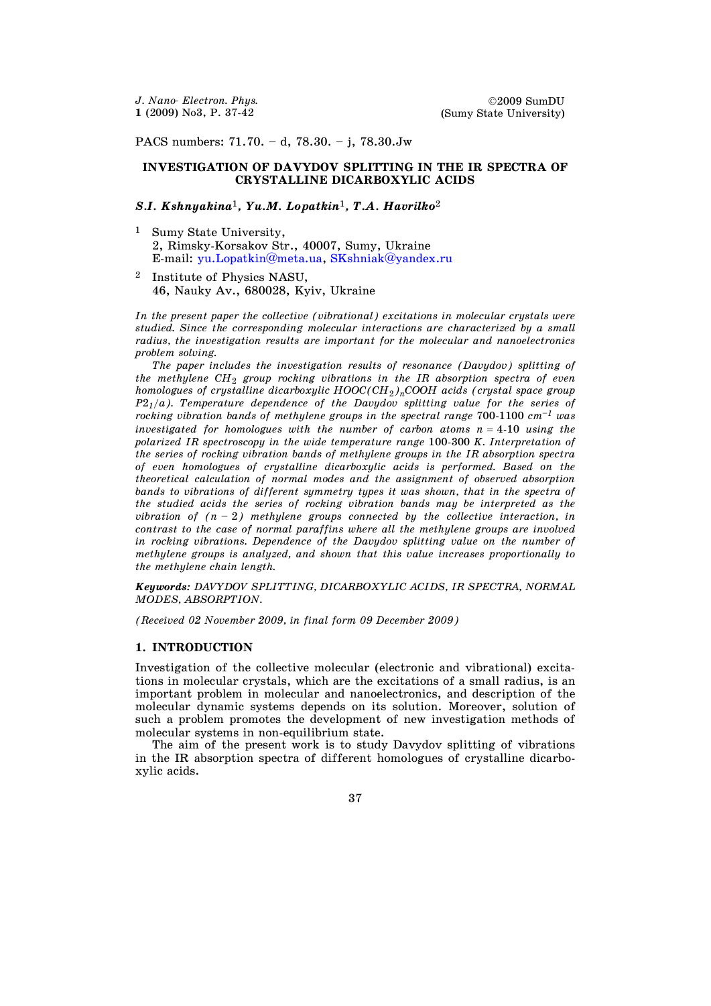PACS numbers: 71.70. – d, 78.30. – j, 78.30.Jw

# **INVESTIGATION OF DAVYDOV SPLITTING IN THE IR SPECTRA OF CRYSTALLINE DICARBOXYLIC ACIDS**

## *S.I. Kshnyakina*1*, Yu.M. Lopatkin*1*, T.A. Havrilko*<sup>2</sup>

- <sup>1</sup> Sumy State University, 2, Rimsky-Korsakov Str., 40007, Sumy, Ukraine E-mail: [yu.Lopatkin@meta.ua,](mailto:oemf@oemf.edu.ua) [SKshniak@yandex.ru](mailto:SKshniak@yandex.ru)
- <sup>2</sup> Institute of Physics NASU, 46, Nauky Av., 680028, Kyiv, Ukraine

*In the present paper the collective (vibrational) excitations in molecular crystals were studied. Since the corresponding molecular interactions are characterized by a small radius, the investigation results are important for the molecular and nanoelectronics problem solving.* 

 *The paper includes the investigation results of resonance (Davydov) splitting of the methylene CH<sub>2</sub> group rocking vibrations in the IR absorption spectra of even homologues of crystalline dicarboxylic HOOC*( $CH_2$ )<sub>n</sub>COOH acids (crystal space group *P*2*1/a). Temperature dependence of the Davydov splitting value for the series of rocking vibration bands of methylene groups in the spectral range* 700-1100 *cm–1 was investigated for homologues with the number of carbon atoms*  $n = 4-10$  *using the polarized IR spectroscopy in the wide temperature range* 100-300 *K. Interpretation of the series of rocking vibration bands of methylene groups in the IR absorption spectra of even homologues of crystalline dicarboxylic acids is performed. Based on the theoretical calculation of normal modes and the assignment of observed absorption bands to vibrations of different symmetry types it was shown, that in the spectra of the studied acids the series of rocking vibration bands may be interpreted as the vibration of*  $(n - 2)$  *methylene groups connected by the collective interaction, in contrast to the case of normal paraffins where all the methylene groups are involved in rocking vibrations. Dependence of the Davydov splitting value on the number of methylene groups is analyzed, and shown that this value increases proportionally to the methylene chain length.* 

*Keywords: DAVYDOV SPLITTING, DICARBOXYLIC ACIDS, IR SPECTRA, NORMAL MODES, ABSORPTION.* 

*(Received 02 November 2009, in final form 09 December 2009)* 

#### **1. INTRODUCTION**

Investigation of the collective molecular (electronic and vibrational) excitations in molecular crystals, which are the excitations of a small radius, is an important problem in molecular and nanoelectronics, and description of the molecular dynamic systems depends on its solution. Moreover, solution of such a problem promotes the development of new investigation methods of molecular systems in non-equilibrium state.

 The aim of the present work is to study Davydov splitting of vibrations in the IR absorption spectra of different homologues of crystalline dicarboxylic acids.

37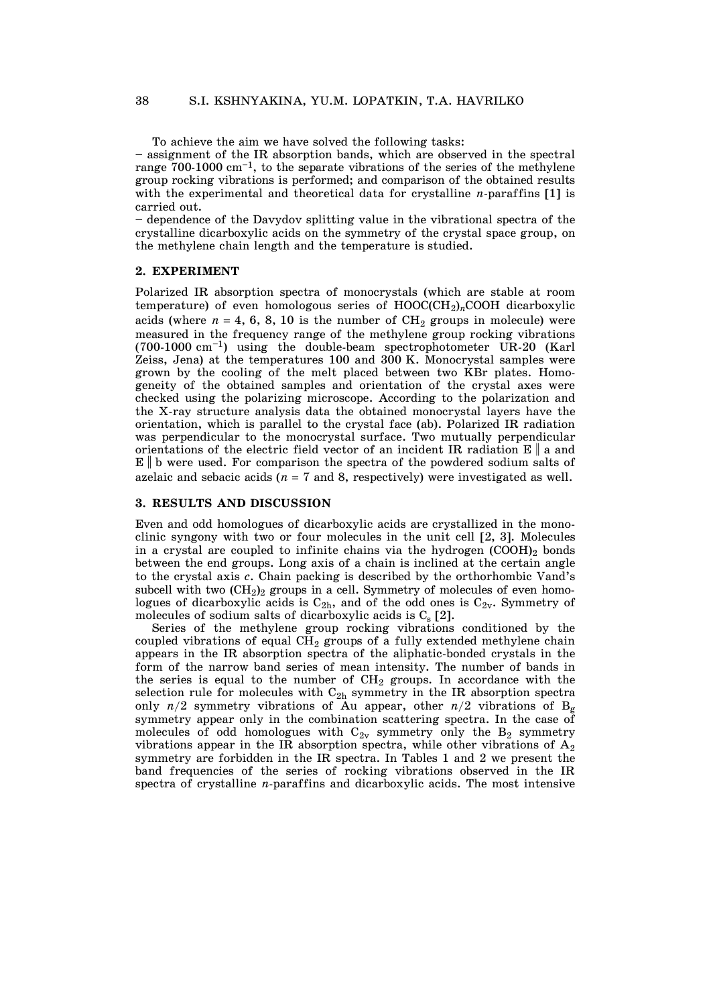To achieve the aim we have solved the following tasks:

– assignment of the IR absorption bands, which are observed in the spectral range  $700-1000 \text{ cm}^{-1}$ , to the separate vibrations of the series of the methylene group rocking vibrations is performed; and comparison of the obtained results with the experimental and theoretical data for crystalline *n*-paraffins [1] is carried out.

– dependence of the Davydov splitting value in the vibrational spectra of the crystalline dicarboxylic acids on the symmetry of the crystal space group, on the methylene chain length and the temperature is studied.

### **2. EXPERIMENT**

Polarized IR absorption spectra of monocrystals (which are stable at room temperature) of even homologous series of  $HOOC(CH_2)_nCOOH$  dicarboxylic acids (where  $n = 4, 6, 8, 10$  is the number of CH<sub>2</sub> groups in molecule) were measured in the frequency range of the methylene group rocking vibrations  $(700-1000 \text{ cm}^{-1})$  using the double-beam spectrophotometer UR-20 (Karl Zeiss, Jena) at the temperatures 100 and  $300$  K. Monocrystal samples were grown by the cooling of the melt placed between two KBr plates. Homogeneity of the obtained samples and orientation of the crystal axes were checked using the polarizing microscope. According to the polarization and the X-ray structure analysis data the obtained monocrystal layers have the orientation, which is parallel to the crystal face (ab). Polarized IR radiation was perpendicular to the monocrystal surface. Two mutually perpendicular orientations of the electric field vector of an incident IR radiation  $E \parallel a$  and  $E \parallel b$  were used. For comparison the spectra of the powdered sodium salts of azelaic and sebacic acids ( $n = 7$  and 8, respectively) were investigated as well.

### **3. RESULTS AND DISCUSSION**

Even and odd homologues of dicarboxylic acids are crystallized in the monoclinic syngony with two or four molecules in the unit cell [2, 3]. Molecules in a crystal are coupled to infinite chains via the hydrogen  $(COOH)_2$  bonds between the end groups. Long axis of a chain is inclined at the certain angle to the crystal axis *c*. Chain packing is described by the orthorhombic Vand's subcell with two  $(CH<sub>2</sub>)<sub>2</sub>$  groups in a cell. Symmetry of molecules of even homologues of dicarboxylic acids is  $C_{2h}$ , and of the odd ones is  $C_{2v}$ . Symmetry of molecules of sodium salts of dicarboxylic acids is  $C_s$  [2].

 Series of the methylene group rocking vibrations conditioned by the coupled vibrations of equal  $\tilde{\text{CH}}_2$  groups of a fully extended methylene chain appears in the IR absorption spectra of the aliphatic-bonded crystals in the form of the narrow band series of mean intensity. The number of bands in the series is equal to the number of  $CH_2$  groups. In accordance with the selection rule for molecules with  $C_{2h}$  symmetry in the IR absorption spectra only  $n/2$  symmetry vibrations of Au appear, other  $n/2$  vibrations of B<sub>g</sub> symmetry appear only in the combination scattering spectra. In the case of molecules of odd homologues with  $C_{2v}$  symmetry only the  $B_2$  symmetry vibrations appear in the IR absorption spectra, while other vibrations of  $A_2$ symmetry are forbidden in the IR spectra. In Tables 1 and 2 we present the band frequencies of the series of rocking vibrations observed in the IR spectra of crystalline *n*-paraffins and dicarboxylic acids. The most intensive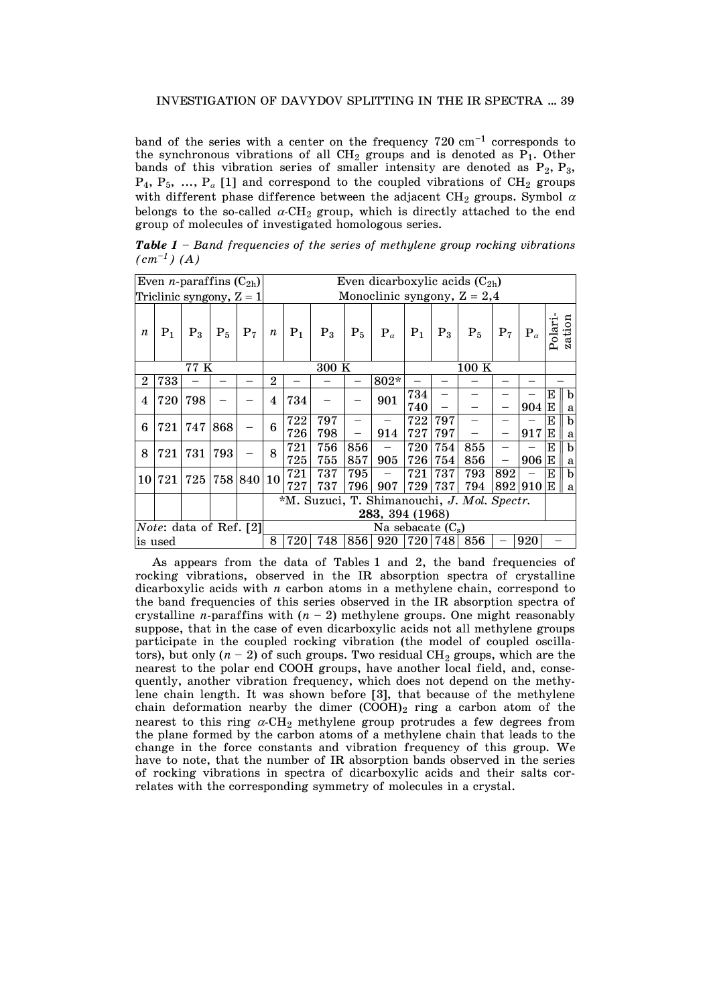band of the series with a center on the frequency  $720 \text{ cm}^{-1}$  corresponds to the synchronous vibrations of all  $CH_2$  groups and is denoted as  $P_1$ . Other bands of this vibration series of smaller intensity are denoted as  $P_2$ ,  $P_3$ ,  $P_4$ ,  $P_5$ , ...,  $P_\alpha$  [1] and correspond to the coupled vibrations of CH<sub>2</sub> groups with different phase difference between the adjacent CH<sub>2</sub> groups. Symbol  $\alpha$ belongs to the so-called  $\alpha$ -CH<sub>2</sub> group, which is directly attached to the end group of molecules of investigated homologous series.

*Table 1 – Band frequencies of the series of methylene group rocking vibrations*   $(cm^{-1})$  (A)

| Even <i>n</i> -paraffins $(C_{2h})$ |        |       |       |            | Even dicarboxylic acids $(C_{2h})$                             |                                                       |            |            |              |            |            |                |       |              |         |                   |  |
|-------------------------------------|--------|-------|-------|------------|----------------------------------------------------------------|-------------------------------------------------------|------------|------------|--------------|------------|------------|----------------|-------|--------------|---------|-------------------|--|
| Triclinic syngony, $Z = 1$          |        |       |       |            |                                                                | Monoclinic syngony, $Z = 2,4$                         |            |            |              |            |            |                |       |              |         |                   |  |
| $\boldsymbol{n}$                    | $P_1$  | $P_3$ | $P_5$ | $P_7$      | $\boldsymbol{n}$                                               | $P_1$                                                 | $P_3$      | $P_5$      | $P_{\alpha}$ | $P_1$      | $P_3$      | P <sub>5</sub> | $P_7$ | $P_{\alpha}$ | Polari  | zation            |  |
| 77 K                                |        |       |       |            |                                                                | 300K                                                  |            |            |              |            | 100K       |                |       |              |         |                   |  |
| $\overline{2}$                      | 733    |       |       |            | $\overline{2}$                                                 |                                                       |            |            | 802*         |            |            |                |       |              |         |                   |  |
| 4                                   | 720    | 798   |       |            | 4                                                              | 734                                                   |            |            | 901          | 734<br>740 |            |                |       | 904          | E<br>ΙE | $\mathbf{b}$<br>a |  |
| 6                                   | 721    | 747   | 868   |            | 6                                                              | 722<br>726                                            | 797<br>798 |            | 914          | 722<br>727 | 797<br>797 |                |       | 917          | E<br>Е  | $\mathbf{b}$<br>a |  |
| 8                                   | 721    | 731   | 793   |            | 8                                                              | 721<br>725                                            | 756<br>755 | 856<br>857 | 905          | 720<br>726 | 754<br>754 | 855<br>856     |       | 906          | Е<br>E  | $\mathbf b$<br>a  |  |
|                                     | 10 721 | 725   |       | 758 840 10 |                                                                | 721<br>727                                            | 737<br>737 | 795<br>796 | 907          | 721<br>729 | 737<br>737 | 793<br>794     | 892   | 892 910      | Е<br>ΙE | $\mathbf{b}$<br>a |  |
|                                     |        |       |       |            | *M. Suzuci, T. Shimanouchi, J. Mol. Spectr.<br>283, 394 (1968) |                                                       |            |            |              |            |            |                |       |              |         |                   |  |
| <i>Note</i> : data of Ref. [2]      |        |       |       |            |                                                                | $\overline{\text{Na}}$ sebacate $(\text{C}_\text{s})$ |            |            |              |            |            |                |       |              |         |                   |  |
| is used                             |        |       |       |            |                                                                | 720                                                   | 748        | 856        | 920          | 720 748    |            | 856            |       | 920          |         |                   |  |

 As appears from the data of Tables 1 and 2, the band frequencies of rocking vibrations, observed in the IR absorption spectra of crystalline dicarboxylic acids with *n* carbon atoms in a methylene chain, correspond to the band frequencies of this series observed in the IR absorption spectra of crystalline *n*-paraffins with  $(n - 2)$  methylene groups. One might reasonably suppose, that in the case of even dicarboxylic acids not all methylene groups participate in the coupled rocking vibration (the model of coupled oscillators), but only  $(n - 2)$  of such groups. Two residual CH<sub>2</sub> groups, which are the nearest to the polar end COOH groups, have another local field, and, consequently, another vibration frequency, which does not depend on the methylene chain length. It was shown before [3], that because of the methylene chain deformation nearby the dimer  $(COOH)_2$  ring a carbon atom of the nearest to this ring  $\alpha$ -CH<sub>2</sub> methylene group protrudes a few degrees from the plane formed by the carbon atoms of a methylene chain that leads to the change in the force constants and vibration frequency of this group. We have to note, that the number of IR absorption bands observed in the series of rocking vibrations in spectra of dicarboxylic acids and their salts correlates with the corresponding symmetry of molecules in a crystal.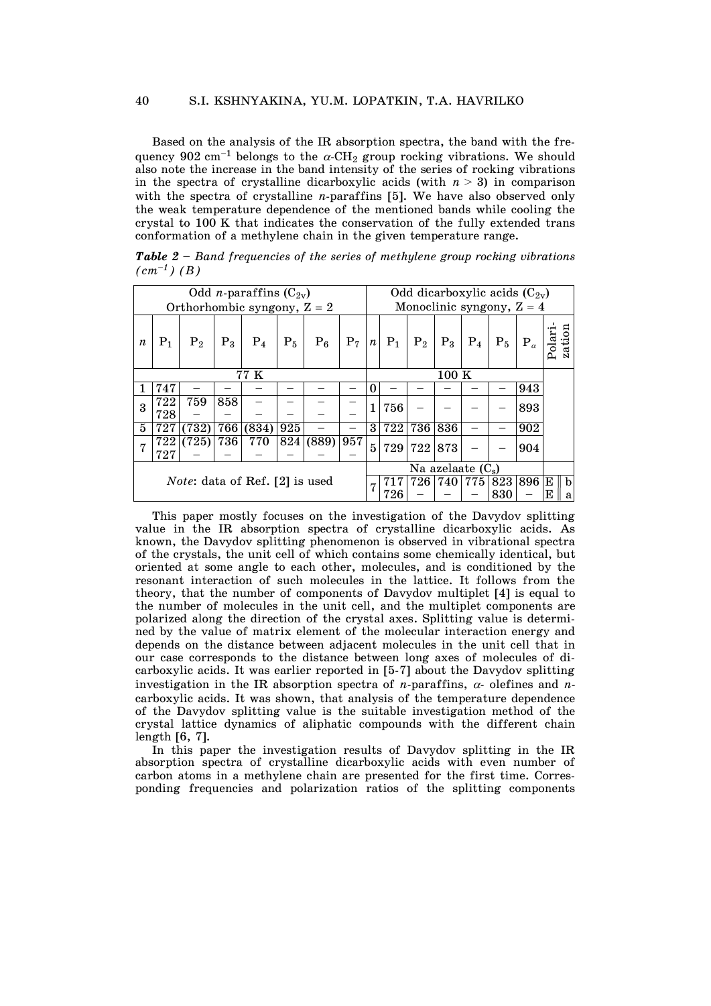Based on the analysis of the IR absorption spectra, the band with the frequency 902 cm<sup>-1</sup> belongs to the  $\alpha$ -CH<sub>2</sub> group rocking vibrations. We should also note the increase in the band intensity of the series of rocking vibrations in the spectra of crystalline dicarboxylic acids (with  $n > 3$ ) in comparison with the spectra of crystalline *n*-paraffins [5]. We have also observed only the weak temperature dependence of the mentioned bands while cooling the crystal to 100 K that indicates the conservation of the fully extended trans conformation of a methylene chain in the given temperature range.

| Odd <i>n</i> -paraffins $(C_{2v})$    |           |         |       |                               |                             |       |       |                  | Odd dicarboxylic acids $(C_{2v})$       |                |           |       |         |              |   |   |  |
|---------------------------------------|-----------|---------|-------|-------------------------------|-----------------------------|-------|-------|------------------|-----------------------------------------|----------------|-----------|-------|---------|--------------|---|---|--|
|                                       |           |         |       | Orthorhombic syngony, $Z = 2$ | Monoclinic syngony, $Z = 4$ |       |       |                  |                                         |                |           |       |         |              |   |   |  |
| $\boldsymbol{n}$                      | $\rm P_1$ | $P_{2}$ | $P_3$ | $P_4$                         | $P_5$                       | $P_6$ | $P_7$ | $\boldsymbol{n}$ | $P_1$                                   | $\mathrm{P}_2$ | $P_3$     | $P_4$ | $P_5$   | $P_{\alpha}$ |   |   |  |
| $\overline{7}7K$                      |           |         |       |                               |                             |       |       |                  | 100K                                    |                |           |       |         |              |   |   |  |
|                                       | 747       |         |       |                               |                             |       |       | 0                |                                         |                |           |       |         | 943          |   |   |  |
| 3                                     | 722       | 759     | 858   |                               |                             |       |       | 1                | 756                                     |                |           |       |         | 893          |   |   |  |
|                                       | 728       |         |       |                               |                             |       |       |                  |                                         |                |           |       |         |              |   |   |  |
| $\mathbf{5}$                          | 727       | 732)    | 766   | (834)                         | 925                         |       |       | 3                | 722                                     | 736            | 836       |       |         | 902          |   |   |  |
| 7                                     | 722       | (725)   | 736   | 770                           | 824                         | (889) | 957   | $\overline{5}$   | 729                                     |                | 722   873 |       |         | 904          |   |   |  |
|                                       | 727       |         |       |                               |                             |       |       |                  |                                         |                |           |       |         |              |   |   |  |
|                                       |           |         |       |                               |                             |       |       |                  | $\overline{\text{Na}}$ azelaate $(C_s)$ |                |           |       |         |              |   |   |  |
| <i>Note:</i> data of Ref. [2] is used |           |         |       |                               |                             |       |       | 7                |                                         | 726            | 740 775   |       | 823 896 |              | Е | b |  |
|                                       |           |         |       |                               |                             |       |       |                  | 726                                     |                |           |       | 830     |              | Е | a |  |

*Table 2 – Band frequencies of the series of methylene group rocking vibrations*   $(cm^{-1})$  *(B)* 

 This paper mostly focuses on the investigation of the Davydov splitting value in the IR absorption spectra of crystalline dicarboxylic acids. As known, the Davydov splitting phenomenon is observed in vibrational spectra of the crystals, the unit cell of which contains some chemically identical, but oriented at some angle to each other, molecules, and is conditioned by the resonant interaction of such molecules in the lattice. It follows from the theory, that the number of components of Davydov multiplet [4] is equal to the number of molecules in the unit cell, and the multiplet components are polarized along the direction of the crystal axes. Splitting value is determined by the value of matrix element of the molecular interaction energy and depends on the distance between adjacent molecules in the unit cell that in our case corresponds to the distance between long axes of molecules of dicarboxylic acids. It was earlier reported in [5-7] about the Davydov splitting investigation in the IR absorption spectra of *n*-paraffins,  $\alpha$ - olefines and *n*carboxylic acids. It was shown, that analysis of the temperature dependence of the Davydov splitting value is the suitable investigation method of the crystal lattice dynamics of aliphatic compounds with the different chain length [6, 7].

 In this paper the investigation results of Davydov splitting in the IR absorption spectra of crystalline dicarboxylic acids with even number of carbon atoms in a methylene chain are presented for the first time. Corresponding frequencies and polarization ratios of the splitting components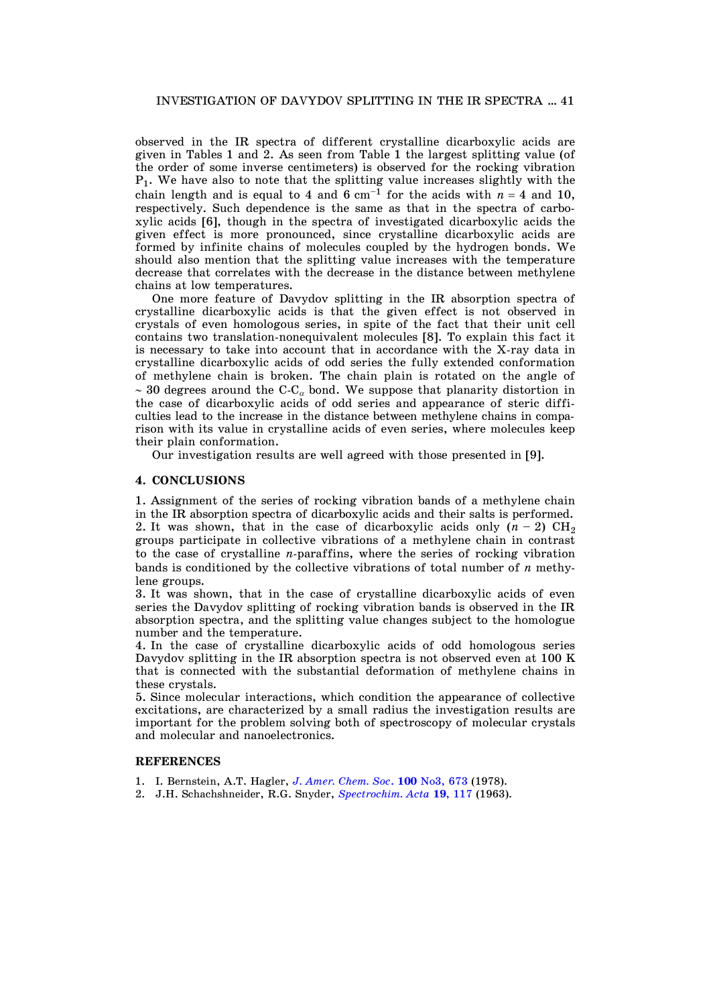observed in the IR spectra of different crystalline dicarboxylic acids are given in Tables 1 and 2. As seen from Table 1 the largest splitting value (of the order of some inverse centimeters) is observed for the rocking vibration P1. We have also to note that the splitting value increases slightly with the chain length and is equal to 4 and 6 cm<sup>-1</sup> for the acids with  $n = 4$  and 10, respectively. Such dependence is the same as that in the spectra of carboxylic acids [6], though in the spectra of investigated dicarboxylic acids the given effect is more pronounced, since crystalline dicarboxylic acids are formed by infinite chains of molecules coupled by the hydrogen bonds. We should also mention that the splitting value increases with the temperature decrease that correlates with the decrease in the distance between methylene chains at low temperatures.

 One more feature of Davydov splitting in the IR absorption spectra of crystalline dicarboxylic acids is that the given effect is not observed in crystals of even homologous series, in spite of the fact that their unit cell contains two translation-nonequivalent molecules [8]. To explain this fact it is necessary to take into account that in accordance with the X-ray data in crystalline dicarboxylic acids of odd series the fully extended conformation of methylene chain is broken. The chain plain is rotated on the angle of  $\sim$  30 degrees around the C-C<sub>a</sub> bond. We suppose that planarity distortion in the case of dicarboxylic acids of odd series and appearance of steric difficulties lead to the increase in the distance between methylene chains in comparison with its value in crystalline acids of even series, where molecules keep their plain conformation.

Our investigation results are well agreed with those presented in [9].

### **4. CONCLUSIONS**

1. Assignment of the series of rocking vibration bands of a methylene chain in the IR absorption spectra of dicarboxylic acids and their salts is performed. 2. It was shown, that in the case of dicarboxylic acids only  $(n-2)$  CH<sub>2</sub> groups participate in collective vibrations of a methylene chain in contrast to the case of crystalline *n*-paraffins, where the series of rocking vibration bands is conditioned by the collective vibrations of total number of *n* methylene groups.

3. It was shown, that in the case of crystalline dicarboxylic acids of even series the Davydov splitting of rocking vibration bands is observed in the IR absorption spectra, and the splitting value changes subject to the homologue number and the temperature.

4. In the case of crystalline dicarboxylic acids of odd homologous series Davydov splitting in the IR absorption spectra is not observed even at 100 K that is connected with the substantial deformation of methylene chains in these crystals.

5. Since molecular interactions, which condition the appearance of collective excitations, are characterized by a small radius the investigation results are important for the problem solving both of spectroscopy of molecular crystals and molecular and nanoelectronics.

#### **REFERENCES**

- 1. I. Bernstein, A.T. Hagler, *[J. Amer. Chem. Soc](http://dx.doi.org/10.1021/ja00471a001)*. **100** No3, 673 (1978).
- 2. J.H. Schachshneider, R.G. Snyder, *Spectrochim. Acta* **19**, 117 (1963).